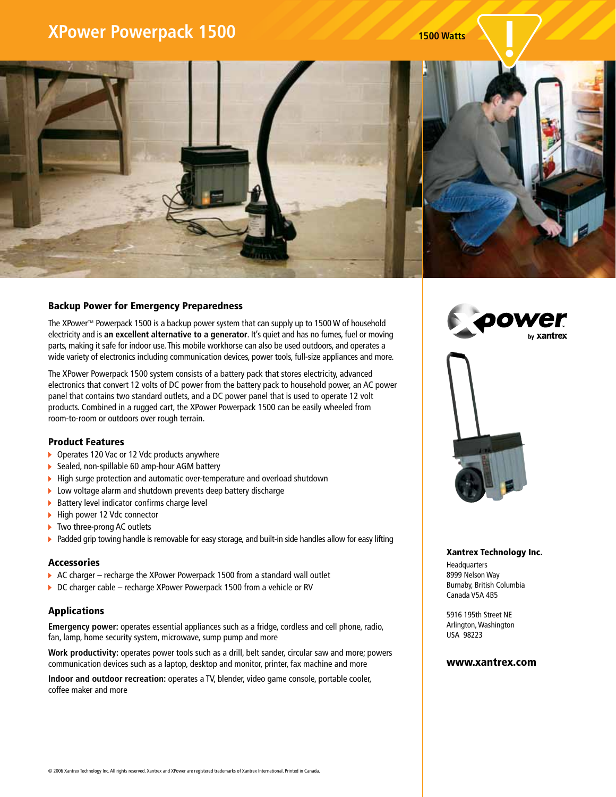# **XPower Powerpack 1500 1500 Watts 1500 Watts**



### Backup Power for Emergency Preparedness

The XPower™ Powerpack 1500 is a backup power system that can supply up to 1500 W of household electricity and is **an excellent alternative to a generator**. It's quiet and has no fumes, fuel or moving parts, making it safe for indoor use. This mobile workhorse can also be used outdoors, and operates a wide variety of electronics including communication devices, power tools, full-size appliances and more.

The XPower Powerpack 1500 system consists of a battery pack that stores electricity, advanced electronics that convert 12 volts of DC power from the battery pack to household power, an AC power panel that contains two standard outlets, and a DC power panel that is used to operate 12 volt products. Combined in a rugged cart, the XPower Powerpack 1500 can be easily wheeled from room-to-room or outdoors over rough terrain.

### Product Features

- ▶ Operates 120 Vac or 12 Vdc products anywhere
- ▶ Sealed, non-spillable 60 amp-hour AGM battery
- ▶ High surge protection and automatic over-temperature and overload shutdown
- Low voltage alarm and shutdown prevents deep battery discharge
- $\triangleright$  Battery level indicator confirms charge level
- ▶ High power 12 Vdc connector
- ▶ Two three-prong AC outlets
- ▶ Padded grip towing handle is removable for easy storage, and built-in side handles allow for easy lifting

### Accessories

- AC charger recharge the XPower Powerpack 1500 from a standard wall outlet
- ▶ DC charger cable recharge XPower Powerpack 1500 from a vehicle or RV

## Applications

**Emergency power:** operates essential appliances such as a fridge, cordless and cell phone, radio, fan, lamp, home security system, microwave, sump pump and more

**Work productivity:** operates power tools such as a drill, belt sander, circular saw and more; powers communication devices such as a laptop, desktop and monitor, printer, fax machine and more

**Indoor and outdoor recreation:** operates a TV, blender, video game console, portable cooler, coffee maker and more





#### Xantrex Technology Inc.

Headquarters 8999 Nelson Way Burnaby, British Columbia Canada V5A 4B5

5916 195th Street NE Arlington, Washington USA 98223

#### www.xantrex.com